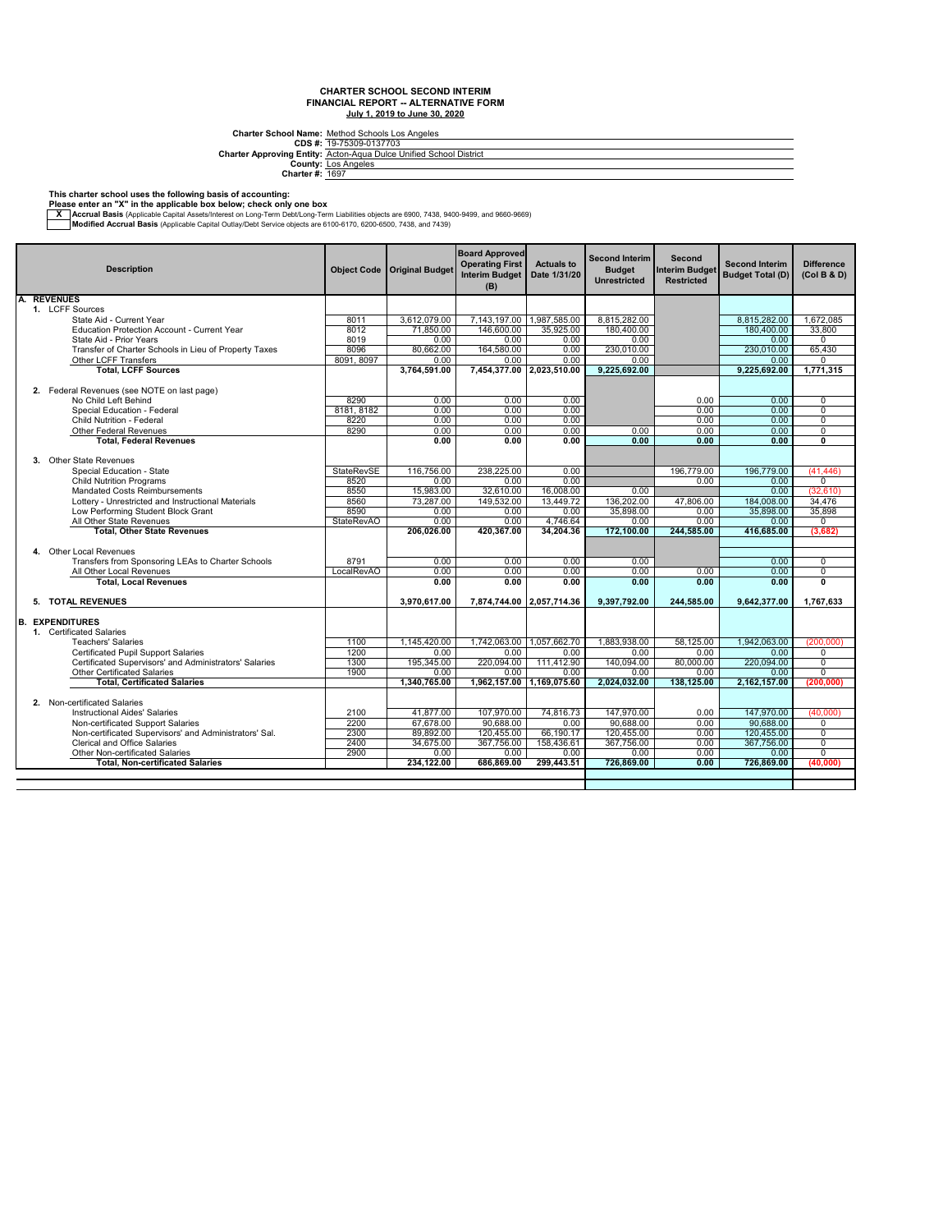**CDS #: Charter Approving Entity:** Charter School Name: <u>Method Schools Los Angeles</u><br>2018 #: <u>19-75309-0137703</u><br>Arter Approving Entity: <u>Acton-Aqua Dulce Unified School District</u><br>County: <u>Los Angeles</u><br>Charter #: <u>1697</u>

#### **This charter school uses the following basis of accounting:**

**Please enter an "X" in the applicable box below; check only one box**

X Accrual Basis (Applicable Capital Assets/Interest on Long-Term Debt/Long-Term Liabilities objects are 6900, 7438, 9400-9499, and 9660-9669, And 9660-9669, and Passis (Applicable Capital Outlay/Debt Service objects are

| <b>Description</b>                                     |                   | Object Code   Original Budget | <b>Board Approved</b><br><b>Operating First</b><br><b>Interim Budget</b><br>(B) | <b>Actuals to</b><br>Date 1/31/20 | <b>Second Interim</b><br><b>Budget</b><br><b>Unrestricted</b> | Second<br><b>Interim Budget</b><br><b>Restricted</b> | <b>Second Interim</b><br><b>Budget Total (D)</b> | <b>Difference</b><br>(Col B & D) |
|--------------------------------------------------------|-------------------|-------------------------------|---------------------------------------------------------------------------------|-----------------------------------|---------------------------------------------------------------|------------------------------------------------------|--------------------------------------------------|----------------------------------|
| <b>A. REVENUES</b>                                     |                   |                               |                                                                                 |                                   |                                                               |                                                      |                                                  |                                  |
| 1. LCFF Sources                                        |                   |                               |                                                                                 |                                   |                                                               |                                                      |                                                  |                                  |
| State Aid - Current Year                               | 8011              | 3.612.079.00                  | 7.143.197.00 1.987.585.00                                                       |                                   | 8.815.282.00                                                  |                                                      | 8.815.282.00                                     | 1.672.085                        |
| Education Protection Account - Current Year            | 8012              | 71,850.00                     | 146.600.00                                                                      | 35.925.00                         | 180.400.00                                                    |                                                      | 180.400.00                                       | 33.800                           |
| State Aid - Prior Years                                | 8019              | 0.00                          | 0.00                                                                            | 0.00                              | 0.00                                                          |                                                      | 0.00                                             | 0                                |
| Transfer of Charter Schools in Lieu of Property Taxes  | 8096              | 80.662.00                     | 164.580.00                                                                      | 0.00                              | 230.010.00                                                    |                                                      | 230.010.00                                       | 65,430                           |
| <b>Other LCFF Transfers</b>                            | 8091, 8097        | 0.00                          | 0.00                                                                            | 0.00                              | 0.00                                                          |                                                      | 0.00                                             | 0                                |
| <b>Total, LCFF Sources</b>                             |                   | 3,764,591.00                  |                                                                                 | 7,454,377.00 2,023,510.00         | 9,225,692.00                                                  |                                                      | 9,225,692.00                                     | 1,771,315                        |
| 2. Federal Revenues (see NOTE on last page)            |                   |                               |                                                                                 |                                   |                                                               |                                                      |                                                  |                                  |
| No Child Left Behind                                   | 8290              | 0.00                          | 0.00                                                                            | 0.00                              |                                                               | 0.00                                                 | 0.00                                             | $\Omega$                         |
| Special Education - Federal                            | 8181, 8182        | 0.00                          | 0.00                                                                            | 0.00                              |                                                               | 0.00                                                 | 0.00                                             | 0                                |
| <b>Child Nutrition - Federal</b>                       | 8220              | 0.00                          | 0.00                                                                            | 0.00                              |                                                               | 0.00                                                 | 0.00                                             | $\overline{0}$                   |
| <b>Other Federal Revenues</b>                          | 8290              | 0.00                          | 0.00                                                                            | 0.00                              | 0.00                                                          | 0.00                                                 | 0.00                                             | 0<br>Ō                           |
| <b>Total, Federal Revenues</b>                         |                   | 0.00                          | 0.00                                                                            | 0.00                              | 0.00                                                          | 0.00                                                 | 0.00                                             |                                  |
| 3. Other State Revenues                                |                   |                               |                                                                                 |                                   |                                                               |                                                      |                                                  |                                  |
| Special Education - State                              | <b>StateRevSE</b> | 116.756.00                    | 238,225.00                                                                      | 0.00                              |                                                               | 196,779.00                                           | 196.779.00                                       | (41, 446)                        |
| <b>Child Nutrition Programs</b>                        | 8520              | 0.00                          | 0.00                                                                            | 0.00                              |                                                               | 0.00                                                 | 0.00                                             | $\Omega$                         |
| Mandated Costs Reimbursements                          | 8550              | 15,983.00                     | 32,610.00                                                                       | 16,008.00                         | 0.00                                                          |                                                      | 0.00                                             | (32,610)                         |
| Lottery - Unrestricted and Instructional Materials     | 8560              | 73,287.00                     | 149,532.00                                                                      | 13,449.72                         | 136,202.00                                                    | 47,806.00                                            | 184,008.00                                       | 34,476                           |
| Low Performing Student Block Grant                     | 8590              | 0.00                          | 0.00                                                                            | 0.00                              | 35,898.00                                                     | 0.00                                                 | 35,898,00                                        | 35,898                           |
| All Other State Revenues                               | <b>StateRevAO</b> | 0.00                          | 0.00                                                                            | 4.746.64                          | 0.00                                                          | 0.00                                                 | 0.00                                             | $\Omega$                         |
| <b>Total, Other State Revenues</b>                     |                   | 206.026.00                    | 420,367.00                                                                      | 34,204.36                         | 172,100.00                                                    | 244.585.00                                           | 416,685.00                                       | (3,682)                          |
| 4. Other Local Revenues                                |                   |                               |                                                                                 |                                   |                                                               |                                                      |                                                  |                                  |
| Transfers from Sponsoring LEAs to Charter Schools      | 8791              | 0.00                          | 0.00                                                                            | 0.00                              | 0.00                                                          |                                                      | 0.00                                             | 0                                |
| All Other Local Revenues                               | LocalRevAO        | 0.00                          | 0.00                                                                            | 0.00                              | 0.00                                                          | 0.00                                                 | 0.00                                             | 0                                |
| <b>Total, Local Revenues</b>                           |                   | 0.00                          | 0.00                                                                            | 0.00                              | 0.00                                                          | 0.00                                                 | 0.00                                             | Ō                                |
|                                                        |                   |                               | 7,874,744.00 2,057,714.36                                                       |                                   | 9.397.792.00                                                  |                                                      |                                                  | 1.767.633                        |
| 5. TOTAL REVENUES                                      |                   | 3,970,617.00                  |                                                                                 |                                   |                                                               | 244,585.00                                           | 9,642,377.00                                     |                                  |
| <b>B. EXPENDITURES</b>                                 |                   |                               |                                                                                 |                                   |                                                               |                                                      |                                                  |                                  |
| 1. Certificated Salaries                               |                   |                               |                                                                                 |                                   |                                                               |                                                      |                                                  |                                  |
| <b>Teachers' Salaries</b>                              | 1100              | 1,145,420.00                  | 1,742,063.00   1,057,662.70                                                     |                                   | 1,883,938.00                                                  | 58.125.00                                            | 1.942.063.00                                     | (200.000)                        |
| <b>Certificated Pupil Support Salaries</b>             | 1200              | 0.00                          | 0.00                                                                            | 0.00                              | 0.00                                                          | 0.00                                                 | 0.00                                             | 0                                |
| Certificated Supervisors' and Administrators' Salaries | 1300              | 195,345.00                    | 220.094.00                                                                      | 111.412.90                        | 140.094.00                                                    | 80.000.00                                            | 220.094.00                                       | $\overline{0}$                   |
| <b>Other Certificated Salaries</b>                     | 1900              | 0.00                          | 0.00                                                                            | 0.00                              | 0.00                                                          | 0.00                                                 | 0.00                                             | 0                                |
| <b>Total, Certificated Salaries</b>                    |                   | 1,340,765.00                  | 1,962,157.00                                                                    | 1,169,075.60                      | 2,024,032.00                                                  | 138,125.00                                           | 2,162,157.00                                     | (200, 000)                       |
| 2. Non-certificated Salaries                           |                   |                               |                                                                                 |                                   |                                                               |                                                      |                                                  |                                  |
| Instructional Aides' Salaries                          | 2100              | 41,877.00                     | 107,970.00                                                                      | 74,816.73                         | 147,970.00                                                    | 0.00                                                 | 147,970.00                                       | (40,000)                         |
| Non-certificated Support Salaries                      | 2200              | 67,678.00                     | 90,688.00                                                                       | 0.00                              | 90,688.00                                                     | 0.00                                                 | 90,688.00                                        | 0                                |
| Non-certificated Supervisors' and Administrators' Sal. | 2300              | 89,892.00                     | 120,455.00                                                                      | 66,190.17                         | 120,455.00                                                    | 0.00                                                 | 120,455.00                                       | $\overline{0}$                   |
| <b>Clerical and Office Salaries</b>                    | 2400              | 34.675.00                     | 367.756.00                                                                      | 158.436.61                        | 367.756.00                                                    | 0.00                                                 | 367.756.00                                       | $\overline{0}$                   |
| Other Non-certificated Salaries                        | 2900              | 0.00                          | 0.00                                                                            | 0.00                              | 0.00                                                          | 0.00                                                 | 0.00                                             | $\overline{0}$                   |
| <b>Total, Non-certificated Salaries</b>                |                   | 234,122.00                    | 686,869.00                                                                      | 299,443.51                        | 726,869.00                                                    | 0.00                                                 | 726,869.00                                       | (40,000)                         |
|                                                        |                   |                               |                                                                                 |                                   |                                                               |                                                      |                                                  |                                  |
|                                                        |                   |                               |                                                                                 |                                   |                                                               |                                                      |                                                  |                                  |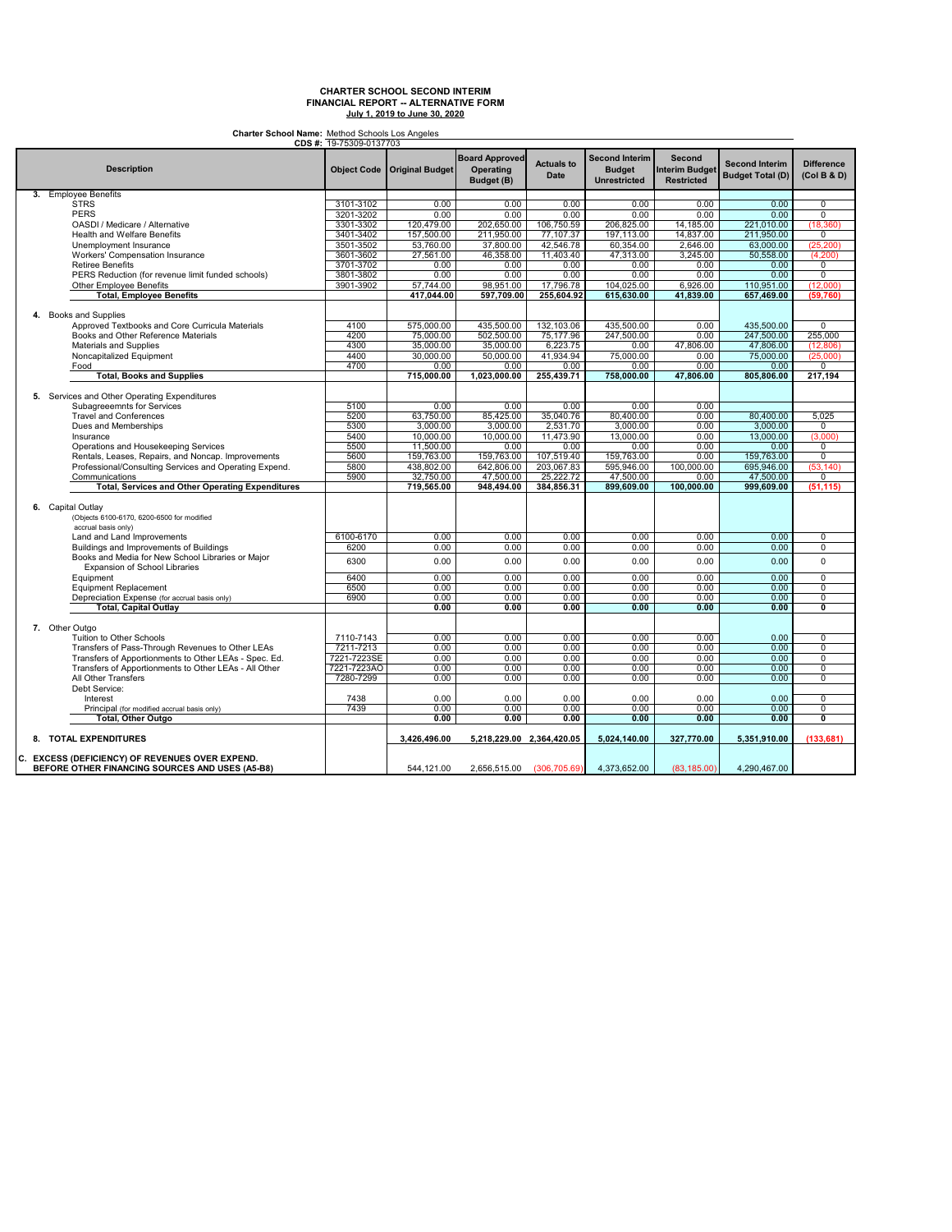**Charter School Name:** Method Schools Los Angeles

|                                                         | CDS #: 19-75309-0137703 |                                      |                                                         |                           |                                                               |                                                      |                                                  |                                  |
|---------------------------------------------------------|-------------------------|--------------------------------------|---------------------------------------------------------|---------------------------|---------------------------------------------------------------|------------------------------------------------------|--------------------------------------------------|----------------------------------|
| <b>Description</b>                                      |                         | <b>Object Code   Original Budget</b> | <b>Board Approved</b><br><b>Operating</b><br>Budget (B) | <b>Actuals to</b><br>Date | <b>Second Interim</b><br><b>Budget</b><br><b>Unrestricted</b> | Second<br><b>Interim Budget</b><br><b>Restricted</b> | <b>Second Interim</b><br><b>Budget Total (D)</b> | <b>Difference</b><br>(Col B & D) |
| 3. Employee Benefits                                    |                         |                                      |                                                         |                           |                                                               |                                                      |                                                  |                                  |
| <b>STRS</b>                                             | 3101-3102               | 0.00                                 | 0.00                                                    | 0.00                      | 0.00                                                          | 0.00                                                 | 0.00                                             | $\overline{0}$                   |
| <b>PERS</b>                                             | 3201-3202               | 0.00                                 | 0.00                                                    | 0.00                      | 0.00                                                          | 0.00                                                 | 0.00                                             | $\Omega$                         |
|                                                         |                         |                                      |                                                         |                           |                                                               |                                                      |                                                  |                                  |
| OASDI / Medicare / Alternative                          | 3301-3302               | 120,479.00                           | 202,650.00                                              | 106,750.59                | 206,825.00                                                    | 14,185.00                                            | 221,010.00                                       | (18, 360)                        |
| <b>Health and Welfare Benefits</b>                      | 3401-3402               | 157,500.00                           | 211,950.00                                              | 77,107.37                 | 197,113.00                                                    | 14,837.00                                            | 211,950.00                                       | 0                                |
| Unemployment Insurance                                  | 3501-3502               | 53,760.00                            | 37,800.00                                               | 42,546.78                 | 60,354.00                                                     | 2.646.00                                             | 63,000.00                                        | (25, 200)                        |
| Workers' Compensation Insurance                         | 3601-3602               | 27,561.00                            | 46,358.00                                               | 11,403.40                 | 47,313.00                                                     | 3,245.00                                             | 50,558.00                                        | (4,200)                          |
| <b>Retiree Benefits</b>                                 | 3701-3702               | 0.00                                 | 0.00                                                    | 0.00                      | 0.00                                                          | 0.00                                                 | 0.00                                             | 0                                |
| PERS Reduction (for revenue limit funded schools)       | 3801-3802               | 0.00                                 | 0.00                                                    | 0.00                      | 0.00                                                          | 0.00                                                 | 0.00                                             | 0                                |
|                                                         |                         |                                      |                                                         | 17,796.78                 |                                                               | 6.926.00                                             |                                                  |                                  |
| <b>Other Employee Benefits</b>                          | 3901-3902               | 57.744.00                            | 98.951.00                                               |                           | 104,025.00                                                    |                                                      | 110,951.00                                       | (12.000)                         |
| <b>Total, Employee Benefits</b>                         |                         | 417,044.00                           | 597,709.00                                              | 255,604.92                | 615,630.00                                                    | 41,839.00                                            | 657,469.00                                       | (59, 760)                        |
| 4. Books and Supplies                                   |                         |                                      |                                                         |                           |                                                               |                                                      |                                                  |                                  |
| Approved Textbooks and Core Curricula Materials         | 4100                    | 575,000.00                           | 435,500.00                                              | 132,103.06                | 435,500.00                                                    | 0.00                                                 | 435,500.00                                       | 0                                |
| Books and Other Reference Materials                     | 4200                    | 75,000.00                            | 502,500.00                                              | 75,177.96                 | 247,500.00                                                    | 0.00                                                 | 247,500.00                                       | 255,000                          |
| Materials and Supplies                                  | 4300                    | 35.000.00                            | 35,000.00                                               | 6,223.75                  | 0.00                                                          | 47,806.00                                            | 47,806.00                                        | (12, 806)                        |
|                                                         |                         |                                      |                                                         |                           |                                                               |                                                      |                                                  |                                  |
| Noncapitalized Equipment                                | 4400                    | 30,000.00                            | 50,000.00                                               | 41,934.94                 | 75,000.00                                                     | 0.00                                                 | 75,000.00                                        | (25,000)                         |
| Food                                                    | 4700                    | 0.00                                 | 0.00                                                    | 0.00                      | 0.00                                                          | 0.00                                                 | 0.00                                             | 0                                |
| <b>Total, Books and Supplies</b>                        |                         | 715,000.00                           | 1,023,000.00                                            | 255,439.71                | 758,000.00                                                    | 47,806.00                                            | 805,806.00                                       | 217,194                          |
| 5. Services and Other Operating Expenditures            |                         |                                      |                                                         |                           |                                                               |                                                      |                                                  |                                  |
| Subagreeemnts for Services                              | 5100                    | 0.00                                 | 0.00                                                    | 0.00                      | 0.00                                                          | 0.00                                                 |                                                  |                                  |
| <b>Travel and Conferences</b>                           | 5200                    | 63,750.00                            | 85,425.00                                               | 35,040.76                 | 80,400.00                                                     | 0.00                                                 | 80,400.00                                        | 5.025                            |
| Dues and Memberships                                    | 5300                    | 3.000.00                             | 3,000.00                                                | 2,531.70                  | 3.000.00                                                      | 0.00                                                 |                                                  |                                  |
|                                                         |                         |                                      |                                                         |                           |                                                               |                                                      | 3,000.00                                         | 0                                |
| Insurance                                               | 5400                    | 10,000.00                            | 10,000.00                                               | 11,473.90                 | 13,000.00                                                     | 0.00                                                 | 13,000.00                                        | (3,000)                          |
| Operations and Housekeeping Services                    | 5500                    | 11,500.00                            | 0.00                                                    | 0.00                      | 0.00                                                          | 0.00                                                 | 0.00                                             | 0                                |
| Rentals, Leases, Repairs, and Noncap. Improvements      | 5600                    | 159,763.00                           | 159,763.00                                              | 107,519.40                | 159,763.00                                                    | 0.00                                                 | 159,763.00                                       | $\mathbf 0$                      |
| Professional/Consulting Services and Operating Expend.  | 5800                    | 438,802.00                           | 642,806.00                                              | 203,067.83                | 595,946.00                                                    | 100,000.00                                           | 695,946.00                                       | (53, 140)                        |
| Communications                                          | 5900                    | 32,750.00                            | 47,500.00                                               | 25,222.72                 | 47,500.00                                                     | 0.00                                                 | 47,500.00                                        | 0                                |
| <b>Total, Services and Other Operating Expenditures</b> |                         | 719.565.00                           | 948,494.00                                              | 384,856.31                | 899.609.00                                                    | 100.000.00                                           | 999.609.00                                       | (51, 115)                        |
|                                                         |                         |                                      |                                                         |                           |                                                               |                                                      |                                                  |                                  |
| 6. Capital Outlay                                       |                         |                                      |                                                         |                           |                                                               |                                                      |                                                  |                                  |
|                                                         |                         |                                      |                                                         |                           |                                                               |                                                      |                                                  |                                  |
| (Objects 6100-6170, 6200-6500 for modified              |                         |                                      |                                                         |                           |                                                               |                                                      |                                                  |                                  |
| accrual basis only)                                     |                         |                                      |                                                         |                           |                                                               |                                                      |                                                  |                                  |
| Land and Land Improvements                              | 6100-6170               | 0.00                                 | 0.00                                                    | 0.00                      | 0.00                                                          | 0.00                                                 | 0.00                                             | 0                                |
| Buildings and Improvements of Buildings                 | 6200                    | 0.00                                 | 0.00                                                    | 0.00                      | 0.00                                                          | 0.00                                                 | 0.00                                             | 0                                |
| Books and Media for New School Libraries or Major       |                         |                                      |                                                         |                           |                                                               |                                                      |                                                  |                                  |
| Expansion of School Libraries                           | 6300                    | 0.00                                 | 0.00                                                    | 0.00                      | 0.00                                                          | 0.00                                                 | 0.00                                             | $\mathbf 0$                      |
| Equipment                                               | 6400                    | 0.00                                 | 0.00                                                    | 0.00                      | 0.00                                                          | 0.00                                                 | 0.00                                             | 0                                |
|                                                         |                         | 0.00                                 | 0.00                                                    | 0.00                      | 0.00                                                          | 0.00                                                 | 0.00                                             |                                  |
| <b>Equipment Replacement</b>                            | 6500                    |                                      |                                                         |                           |                                                               |                                                      |                                                  | 0                                |
| Depreciation Expense (for accrual basis only)           | 6900                    | 0.00                                 | 0.00                                                    | 0.00                      | 0.00                                                          | 0.00                                                 | 0.00                                             | 0                                |
| <b>Total, Capital Outlay</b>                            |                         | 0.00                                 | 0.00                                                    | 0.00                      | 0.00                                                          | 0.00                                                 | 0.00                                             | 0                                |
|                                                         |                         |                                      |                                                         |                           |                                                               |                                                      |                                                  |                                  |
| 7. Other Outgo                                          |                         |                                      |                                                         |                           |                                                               |                                                      |                                                  |                                  |
| Tuition to Other Schools                                | 7110-7143               | 0.00                                 | 0.00                                                    | 0.00                      | 0.00                                                          | 0.00                                                 | 0.00                                             | 0                                |
| Transfers of Pass-Through Revenues to Other LEAs        | 7211-7213               | 0.00                                 | 0.00                                                    | 0.00                      | 0.00                                                          | 0.00                                                 | 0.00                                             | 0                                |
| Transfers of Apportionments to Other LEAs - Spec. Ed.   | 7221-7223SE             | 0.00                                 | 0.00                                                    | 0.00                      | 0.00                                                          | 0.00                                                 | 0.00                                             | $\overline{0}$                   |
| Transfers of Apportionments to Other LEAs - All Other   | 7221-7223AO             | 0.00                                 | 0.00                                                    | 0.00                      | 0.00                                                          | 0.00                                                 | 0.00                                             | $\mathbf 0$                      |
| All Other Transfers                                     | 7280-7299               |                                      |                                                         | 0.00                      | 0.00                                                          |                                                      | 0.00                                             | 0                                |
|                                                         |                         | 0.00                                 | 0.00                                                    |                           |                                                               | 0.00                                                 |                                                  |                                  |
| Debt Service:                                           |                         |                                      |                                                         |                           |                                                               |                                                      |                                                  |                                  |
| Interest                                                | 7438                    | 0.00                                 | 0.00                                                    | 0.00                      | 0.00                                                          | 0.00                                                 | 0.00                                             | 0                                |
| Principal (for modified accrual basis only)             | 7439                    | 0.00                                 | 0.00                                                    | 0.00                      | 0.00                                                          | 0.00                                                 | 0.00                                             | 0                                |
| Total, Other Outgo                                      |                         | 0.00                                 | 0.00                                                    | 0.00                      | 0.00                                                          | 0.00                                                 | 0.00                                             | 0                                |
|                                                         |                         |                                      |                                                         |                           |                                                               |                                                      |                                                  |                                  |
| 8. TOTAL EXPENDITURES                                   |                         | 3.426.496.00                         | 5,218,229.00 2,364,420.05                               |                           | 5.024.140.00                                                  | 327,770.00                                           | 5.351.910.00                                     | (133.681)                        |
| C. EXCESS (DEFICIENCY) OF REVENUES OVER EXPEND.         |                         |                                      |                                                         |                           |                                                               |                                                      |                                                  |                                  |
| BEFORE OTHER FINANCING SOURCES AND USES (A5-B8)         |                         | 544.121.00                           | 2,656,515.00                                            | (306, 705.69)             | 4,373,652.00                                                  | (83, 185.00)                                         | 4,290,467.00                                     |                                  |
|                                                         |                         |                                      |                                                         |                           |                                                               |                                                      |                                                  |                                  |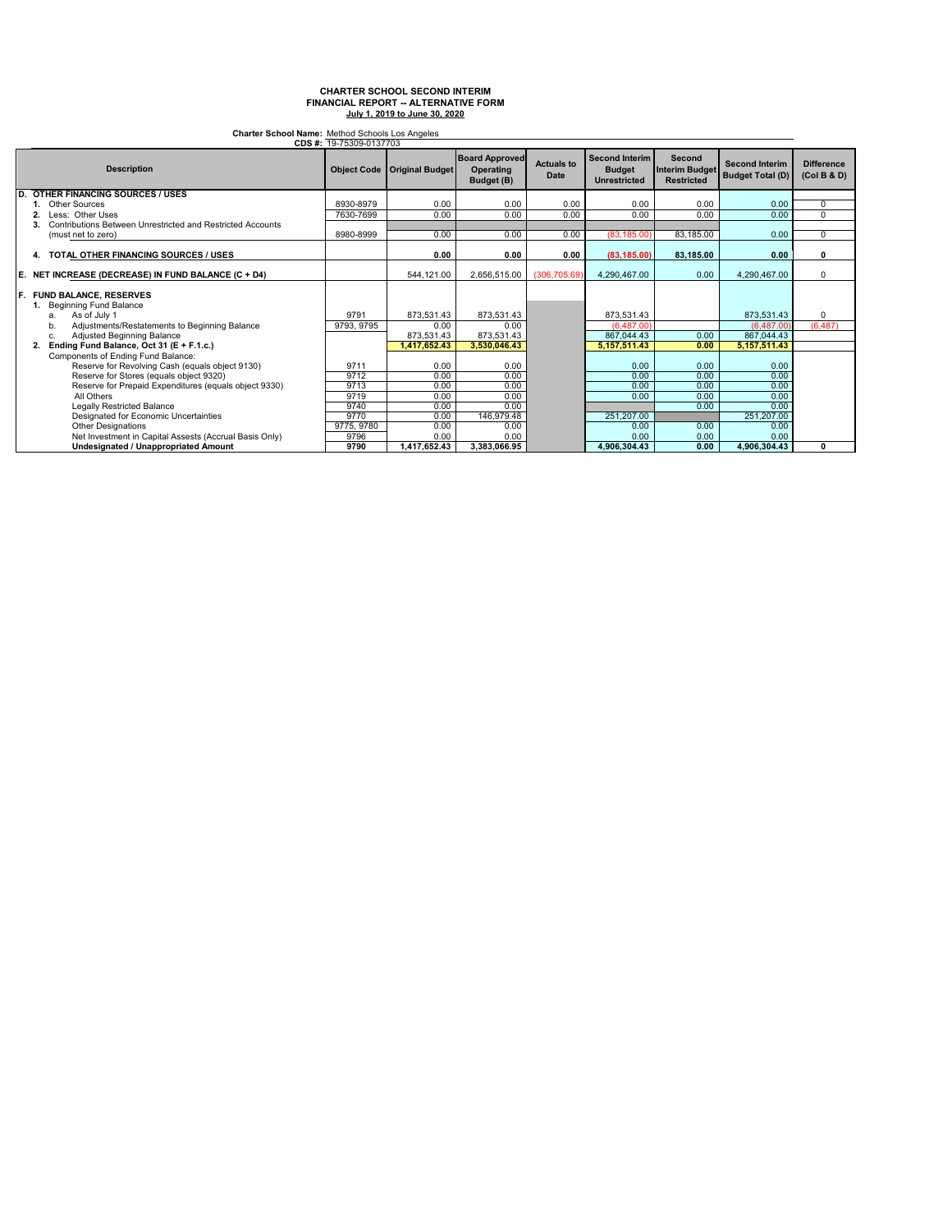**Charter School Name:** Method Schools Los Angeles

|    |                                                                | CDS #: 19-75309-0137703 |                        |                                                  |                           |                                                               |                                                      |                                                  |                                  |
|----|----------------------------------------------------------------|-------------------------|------------------------|--------------------------------------------------|---------------------------|---------------------------------------------------------------|------------------------------------------------------|--------------------------------------------------|----------------------------------|
|    | <b>Description</b>                                             | <b>Object Code</b>      | <b>Original Budget</b> | <b>Board Approved</b><br>Operating<br>Budget (B) | <b>Actuals to</b><br>Date | <b>Second Interim</b><br><b>Budget</b><br><b>Unrestricted</b> | Second<br><b>Interim Budget</b><br><b>Restricted</b> | <b>Second Interim</b><br><b>Budget Total (D)</b> | <b>Difference</b><br>(Col B & D) |
| D. | <b>OTHER FINANCING SOURCES / USES</b>                          |                         |                        |                                                  |                           |                                                               |                                                      |                                                  |                                  |
|    | <b>Other Sources</b>                                           | 8930-8979               | 0.00                   | 0.00                                             | 0.00                      | 0.00                                                          | 0.00                                                 | 0.00                                             | 0                                |
|    | Less: Other Uses                                               | 7630-7699               | 0.00                   | 0.00                                             | 0.00                      | 0.00                                                          | 0.00                                                 | 0.00                                             | $\mathbf 0$                      |
|    | Contributions Between Unrestricted and Restricted Accounts     |                         |                        |                                                  |                           |                                                               |                                                      |                                                  |                                  |
|    | (must net to zero)                                             | 8980-8999               | 0.00                   | 0.00                                             | 0.00                      | (83.185.00)                                                   | 83,185.00                                            | 0.00                                             | $\Omega$                         |
|    | 4. TOTAL OTHER FINANCING SOURCES / USES                        |                         | 0.00                   | 0.00                                             | 0.00                      | (83.185.00)                                                   | 83,185.00                                            | 0.00                                             | 0                                |
| Е. | NET INCREASE (DECREASE) IN FUND BALANCE (C + D4)               |                         | 544,121.00             | 2,656,515.00                                     | (306.705.69)              | 4,290,467.00                                                  | 0.00                                                 | 4,290,467.00                                     | $\Omega$                         |
| F. | <b>FUND BALANCE, RESERVES</b><br><b>Beginning Fund Balance</b> |                         |                        |                                                  |                           |                                                               |                                                      |                                                  |                                  |
|    | As of July 1<br>a.                                             | 9791                    | 873,531.43             | 873,531.43                                       |                           | 873,531.43                                                    |                                                      | 873,531.43                                       | $\mathbf 0$                      |
|    | Adiustments/Restatements to Beginning Balance<br>b.            | 9793, 9795              | 0.00                   | 0.00                                             |                           | (6.487.00)                                                    |                                                      | (6.487.00)                                       | (6, 487)                         |
|    | Adjusted Beginning Balance<br>c.                               |                         | 873,531.43             | 873,531.43                                       |                           | 867,044.43                                                    | 0.00                                                 | 867,044.43                                       |                                  |
|    | Ending Fund Balance, Oct 31 (E + F.1.c.)<br>2.                 |                         | ,417,652.43            | 3,530,046.43                                     |                           | 5, 157, 511.43                                                | 0.00                                                 | 5,157,511.43                                     |                                  |
|    | Components of Ending Fund Balance:                             |                         |                        |                                                  |                           |                                                               |                                                      |                                                  |                                  |
|    | Reserve for Revolving Cash (equals object 9130)                | 9711                    | 0.00                   | 0.00                                             |                           | 0.00                                                          | 0.00                                                 | 0.00                                             |                                  |
|    | Reserve for Stores (equals object 9320)                        | 9712                    | 0.00                   | 0.00                                             |                           | 0.00                                                          | 0.00                                                 | 0.00                                             |                                  |
|    | Reserve for Prepaid Expenditures (equals object 9330)          | 9713                    | 0.00                   | 0.00                                             |                           | 0.00                                                          | 0.00                                                 | 0.00                                             |                                  |
|    | All Others                                                     | 9719                    | 0.00                   | 0.00                                             |                           | 0.00                                                          | 0.00                                                 | 0.00                                             |                                  |
|    | <b>Legally Restricted Balance</b>                              | 9740                    | 0.00                   | 0.00                                             |                           |                                                               | 0.00                                                 | 0.00                                             |                                  |
|    | Designated for Economic Uncertainties                          | 9770                    | 0.00                   | 146,979.48                                       |                           | 251,207.00                                                    |                                                      | 251,207.00                                       |                                  |
|    | <b>Other Designations</b>                                      | 9775, 9780              | 0.00                   | 0.00                                             |                           | 0.00                                                          | 0.00                                                 | 0.00                                             |                                  |
|    | Net Investment in Capital Assests (Accrual Basis Only)         | 9796                    | 0.00                   | 0.00                                             |                           | 0.00                                                          | 0.00                                                 | 0.00                                             |                                  |
|    | Undesignated / Unappropriated Amount                           | 9790                    | 1,417,652.43           | 3,383,066.95                                     |                           | 4.906.304.43                                                  | 0.00                                                 | 4,906,304.43                                     | $\mathbf 0$                      |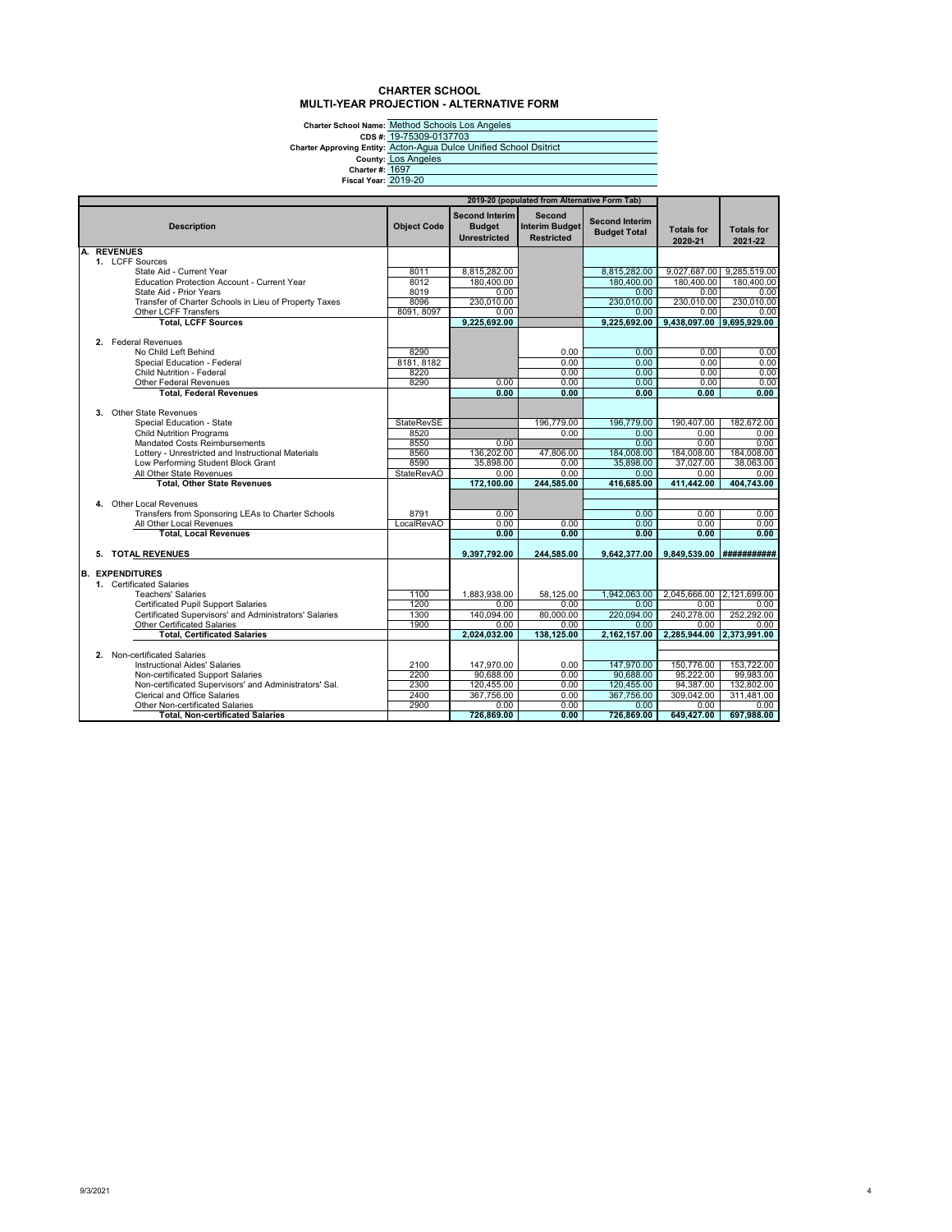### **CHARTER SCHOOL MULTI-YEAR PROJECTION - ALTERNATIVE FORM**

|                             | <b>Charter School Name: Method Schools Los Angeles</b>             |
|-----------------------------|--------------------------------------------------------------------|
|                             | CDS #: 19-75309-0137703                                            |
|                             | Charter Approving Entity: Acton-Aqua Dulce Unified School Dsitrict |
|                             | <b>County: Los Angeles</b>                                         |
| <b>Charter #: 1697</b>      |                                                                    |
| <b>Fiscal Year: 2019-20</b> |                                                                    |
|                             |                                                                    |

|    |                                                                               |                    |                                                               | 2019-20 (populated from Alternative Form Tab)        |                                              |                              |                              |
|----|-------------------------------------------------------------------------------|--------------------|---------------------------------------------------------------|------------------------------------------------------|----------------------------------------------|------------------------------|------------------------------|
|    | <b>Description</b>                                                            | <b>Object Code</b> | <b>Second Interim</b><br><b>Budget</b><br><b>Unrestricted</b> | Second<br><b>Interim Budget</b><br><b>Restricted</b> | <b>Second Interim</b><br><b>Budget Total</b> | <b>Totals for</b><br>2020-21 | <b>Totals for</b><br>2021-22 |
| А. | <b>REVENUES</b>                                                               |                    |                                                               |                                                      |                                              |                              |                              |
|    | 1. LCFF Sources                                                               |                    |                                                               |                                                      |                                              |                              |                              |
|    | State Aid - Current Year                                                      | 8011               | 8,815,282.00                                                  |                                                      | 8,815,282.00                                 | 9.027.687.00                 | 9,285,519.00                 |
|    | <b>Education Protection Account - Current Year</b><br>State Aid - Prior Years | 8012<br>8019       | 180,400.00<br>0.00                                            |                                                      | 180,400.00<br>0.00                           | 180,400.00<br>0.00           | 180,400.00<br>0.00           |
|    | Transfer of Charter Schools in Lieu of Property Taxes                         | 8096               | 230.010.00                                                    |                                                      | 230.010.00                                   | 230,010.00                   | 230.010.00                   |
|    | Other LCFF Transfers                                                          | 8091, 8097         | 0.00                                                          |                                                      | 0.00                                         | 0.00                         | 0.00                         |
|    | <b>Total, LCFF Sources</b>                                                    |                    | 9,225,692.00                                                  |                                                      | 9,225,692.00                                 | 9,438,097.00 9,695,929.00    |                              |
|    |                                                                               |                    |                                                               |                                                      |                                              |                              |                              |
|    | 2. Federal Revenues                                                           |                    |                                                               |                                                      |                                              |                              |                              |
|    | No Child Left Behind                                                          | 8290               |                                                               | 0.00                                                 | 0.00                                         | 0.00                         | 0.00                         |
|    | Special Education - Federal                                                   | 8181, 8182         |                                                               | 0.00                                                 | 0.00                                         | 0.00                         | 0.00                         |
|    | Child Nutrition - Federal                                                     | 8220               |                                                               | 0.00                                                 | 0.00                                         | 0.00                         | 0.00                         |
|    | Other Federal Revenues                                                        | 8290               | 0.00                                                          | 0.00                                                 | 0.00                                         | 0.00                         | 0.00                         |
|    | <b>Total. Federal Revenues</b>                                                |                    | 0.00                                                          | 0.00                                                 | 0.00                                         | 0.00                         | 0.00                         |
|    |                                                                               |                    |                                                               |                                                      |                                              |                              |                              |
|    | 3. Other State Revenues                                                       |                    |                                                               |                                                      |                                              |                              |                              |
|    | Special Education - State                                                     | <b>StateRevSE</b>  |                                                               | 196.779.00                                           | 196.779.00                                   | 190.407.00                   | 182,672.00                   |
|    | <b>Child Nutrition Programs</b>                                               | 8520               |                                                               | 0.00                                                 | 0.00                                         | 0.00                         | 0.00                         |
|    | <b>Mandated Costs Reimbursements</b>                                          | 8550               | 0.00                                                          |                                                      | 0.00                                         | 0.00                         | 0.00                         |
|    | Lottery - Unrestricted and Instructional Materials                            | 8560               | 136,202.00                                                    | 47,806.00                                            | 184.008.00                                   | 184,008.00                   | 184.008.00                   |
|    | Low Performing Student Block Grant                                            | 8590               | 35.898.00                                                     | 0.00                                                 | 35,898.00                                    | 37.027.00                    | 38.063.00                    |
|    | All Other State Revenues                                                      | <b>StateRevAO</b>  | 0.00<br>172.100.00                                            | 0.00<br>244.585.00                                   | 0.00<br>416.685.00                           | 0.00<br>411.442.00           | 0.00<br>404.743.00           |
|    | <b>Total, Other State Revenues</b>                                            |                    |                                                               |                                                      |                                              |                              |                              |
|    | 4. Other Local Revenues                                                       |                    |                                                               |                                                      |                                              |                              |                              |
|    | Transfers from Sponsoring LEAs to Charter Schools                             | 8791               | 0.00                                                          |                                                      | 0.00                                         | 0.00                         | 0.00                         |
|    | All Other Local Revenues                                                      | LocalRevAO         | 0.00                                                          | 0.00                                                 | 0.00                                         | 0.00                         | 0.00                         |
|    | <b>Total, Local Revenues</b>                                                  |                    | 0.00                                                          | 0.00                                                 | 0.00                                         | 0.00                         | 0.00                         |
|    |                                                                               |                    |                                                               |                                                      |                                              |                              |                              |
|    | 5. TOTAL REVENUES                                                             |                    | 9,397,792.00                                                  | 244,585.00                                           | 9,642,377.00                                 | 9,849,539.00                 | ###########                  |
|    |                                                                               |                    |                                                               |                                                      |                                              |                              |                              |
|    | <b>B. EXPENDITURES</b>                                                        |                    |                                                               |                                                      |                                              |                              |                              |
|    | 1. Certificated Salaries                                                      |                    |                                                               |                                                      |                                              |                              |                              |
|    | <b>Teachers' Salaries</b>                                                     | 1100               | 1,883,938.00                                                  | 58,125.00                                            | 1,942,063.00                                 | 2,045,666.00                 | 2,121,699.00                 |
|    | Certificated Pupil Support Salaries                                           | 1200               | 0.00                                                          | 0.00                                                 | 0.00                                         | 0.00                         | 0.00                         |
|    | Certificated Supervisors' and Administrators' Salaries                        | 1300               | 140.094.00                                                    | 80.000.00                                            | 220.094.00                                   | 240.278.00                   | 252,292.00                   |
|    | Other Certificated Salaries                                                   | 1900               | 0.00                                                          | 0.00                                                 | 0.00                                         | 0.00                         | 0.00                         |
|    | <b>Total. Certificated Salaries</b>                                           |                    | 2.024.032.00                                                  | 138.125.00                                           | 2.162.157.00                                 | 2.285.944.00 2.373.991.00    |                              |
|    | 2. Non-certificated Salaries                                                  |                    |                                                               |                                                      |                                              |                              |                              |
|    | <b>Instructional Aides' Salaries</b>                                          | 2100               | 147.970.00                                                    | 0.00                                                 | 147.970.00                                   | 150.776.00                   | 153.722.00                   |
|    | Non-certificated Support Salaries                                             | 2200               | 90,688.00                                                     | 0.00                                                 | 90,688.00                                    | 95,222.00                    | 99,983.00                    |
|    | Non-certificated Supervisors' and Administrators' Sal.                        | 2300               | 120,455.00                                                    | 0.00                                                 | 120,455.00                                   | 94,387.00                    | 132,802.00                   |
|    | Clerical and Office Salaries                                                  | 2400               | 367,756.00                                                    | 0.00                                                 | 367,756.00                                   | 309,042.00                   | 311.481.00                   |
|    | <b>Other Non-certificated Salaries</b>                                        | 2900               | 0.00                                                          | 0.00                                                 | 0.00                                         | 0.00                         | 0.00                         |
|    | <b>Total, Non-certificated Salaries</b>                                       |                    | 726,869.00                                                    | 0.00                                                 | 726,869.00                                   | 649,427.00                   | 697,988.00                   |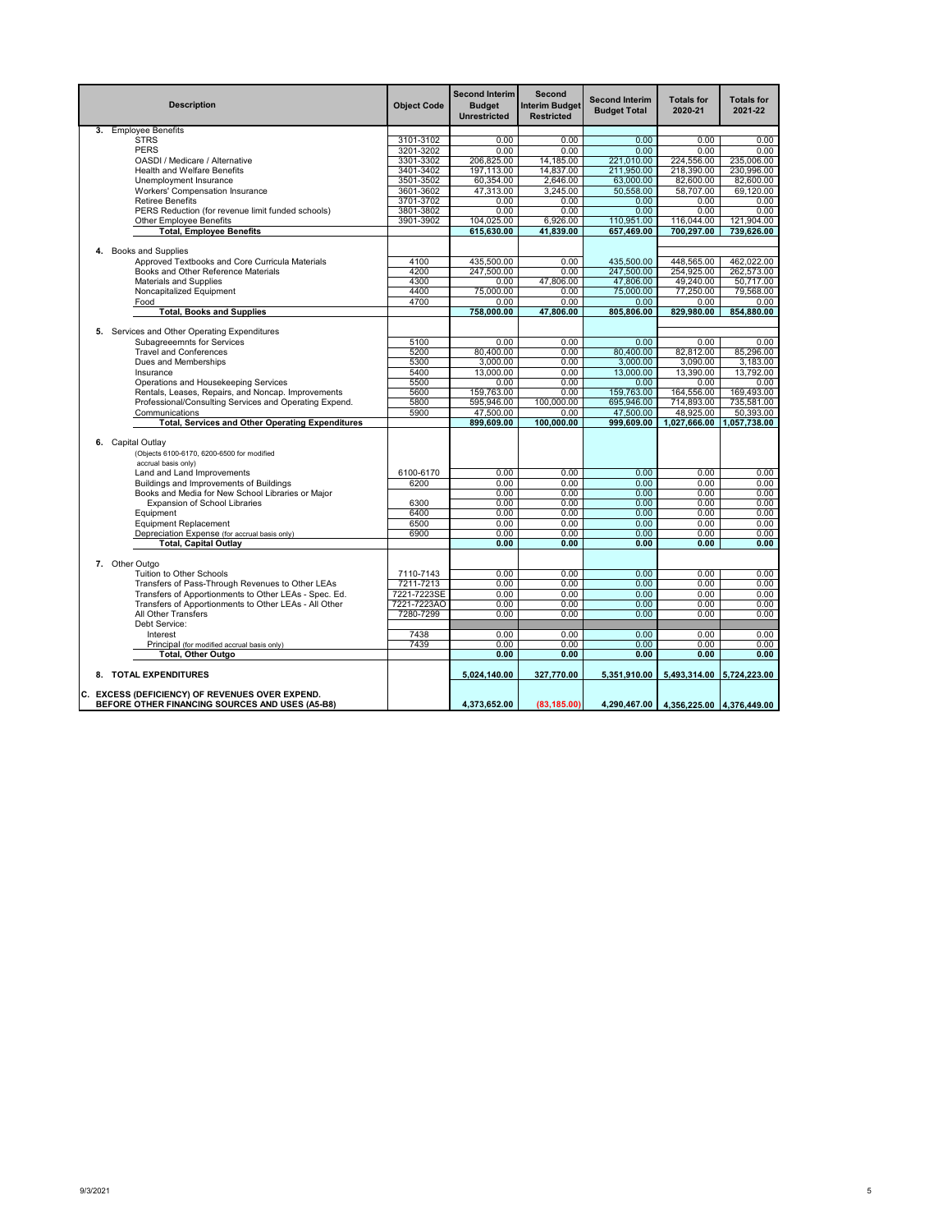| <b>Description</b>                                                                                 | <b>Object Code</b> | <b>Second Interim</b><br><b>Budget</b><br><b>Unrestricted</b> | Second<br><b>Interim Budget</b><br><b>Restricted</b> | <b>Second Interim</b><br><b>Budget Total</b> | <b>Totals for</b><br>2020-21           | <b>Totals for</b><br>2021-22 |
|----------------------------------------------------------------------------------------------------|--------------------|---------------------------------------------------------------|------------------------------------------------------|----------------------------------------------|----------------------------------------|------------------------------|
| 3. Employee Benefits                                                                               |                    |                                                               |                                                      |                                              |                                        |                              |
| <b>STRS</b>                                                                                        | 3101-3102          | 0.00                                                          | 0.00                                                 | 0.00                                         | 0.00                                   | 0.00                         |
| <b>PERS</b>                                                                                        | 3201-3202          | 0.00                                                          | 0.00                                                 | 0.00                                         | 0.00                                   | 0.00                         |
| OASDI / Medicare / Alternative                                                                     | 3301-3302          | 206,825.00                                                    | 14,185.00                                            | 221,010.00                                   | 224,556.00                             | 235,006.00                   |
| <b>Health and Welfare Benefits</b>                                                                 | 3401-3402          | 197.113.00                                                    | 14.837.00                                            | 211,950.00                                   | 218.390.00                             | 230.996.00                   |
| Unemployment Insurance                                                                             | 3501-3502          | 60,354.00                                                     | 2,646.00                                             | 63,000.00                                    | 82,600.00                              | 82,600.00                    |
| Workers' Compensation Insurance                                                                    | 3601-3602          | 47,313.00                                                     | 3,245.00                                             | 50,558.00                                    | 58,707.00                              | 69,120.00                    |
| <b>Retiree Benefits</b>                                                                            | 3701-3702          | 0.00                                                          | 0.00                                                 | 0.00                                         | 0.00                                   | 0.00                         |
| PERS Reduction (for revenue limit funded schools)                                                  | 3801-3802          | 0.00                                                          | 0.00                                                 | 0.00                                         | 0.00                                   | 0.00                         |
| <b>Other Employee Benefits</b>                                                                     | 3901-3902          | 104.025.00                                                    | 6,926.00                                             | 110,951.00                                   | 116,044.00                             | 121.904.00                   |
| <b>Total, Employee Benefits</b>                                                                    |                    | 615.630.00                                                    | 41.839.00                                            | 657.469.00                                   | 700.297.00                             | 739.626.00                   |
|                                                                                                    |                    |                                                               |                                                      |                                              |                                        |                              |
| 4. Books and Supplies                                                                              |                    |                                                               |                                                      |                                              |                                        |                              |
| Approved Textbooks and Core Curricula Materials                                                    | 4100               | 435,500.00                                                    | 0.00                                                 | 435,500.00                                   | 448,565.00                             | 462.022.00                   |
| Books and Other Reference Materials                                                                | 4200<br>4300       | 247,500.00                                                    | 0.00<br>47,806.00                                    | 247,500.00                                   | 254,925.00                             | 262,573.00                   |
| Materials and Supplies                                                                             |                    | 0.00                                                          |                                                      | 47,806.00                                    | 49,240.00                              | 50.717.00                    |
| Noncapitalized Equipment                                                                           | 4400               | 75,000.00                                                     | 0.00                                                 | 75,000.00                                    | 77,250.00                              | 79,568.00                    |
| Food<br><b>Total, Books and Supplies</b>                                                           | 4700               | 0.00<br>758,000.00                                            | 0.00<br>47,806.00                                    | 0.00<br>805,806.00                           | 0.00<br>829,980.00                     | 0.00<br>854,880.00           |
|                                                                                                    |                    |                                                               |                                                      |                                              |                                        |                              |
| 5. Services and Other Operating Expenditures                                                       |                    |                                                               |                                                      |                                              |                                        |                              |
| Subagreeemnts for Services                                                                         | 5100               | 0.00                                                          | 0.00                                                 | 0.00                                         | 0.00                                   | 0.00                         |
| <b>Travel and Conferences</b>                                                                      | 5200               | 80.400.00                                                     | 0.00                                                 | 80,400.00                                    | 82,812.00                              | 85,296.00                    |
| Dues and Memberships                                                                               | 5300               | 3,000.00                                                      | 0.00                                                 | 3,000.00                                     | 3,090.00                               | 3,183.00                     |
| Insurance                                                                                          | 5400               | 13,000.00                                                     | 0.00                                                 | 13,000.00                                    | 13,390.00                              | 13,792.00                    |
| Operations and Housekeeping Services                                                               | 5500               | 0.00                                                          | 0.00                                                 | 0.00                                         | 0.00                                   | 0.00                         |
| Rentals, Leases, Repairs, and Noncap. Improvements                                                 | 5600               | 159.763.00                                                    | 0.00                                                 | 159,763.00                                   | 164,556.00                             | 169.493.00                   |
| Professional/Consulting Services and Operating Expend.                                             | 5800               | 595.946.00                                                    | 100,000.00                                           | 695.946.00                                   | 714.893.00                             | 735.581.00                   |
| Communications                                                                                     | 5900               | 47,500.00                                                     | 0.00                                                 | 47,500.00                                    | 48,925.00                              | 50,393.00                    |
| <b>Total, Services and Other Operating Expenditures</b>                                            |                    | 899,609.00                                                    | 100.000.00                                           | 999,609.00                                   | 1,027,666.00                           | 1,057,738.00                 |
| 6. Capital Outlav<br>(Objects 6100-6170, 6200-6500 for modified<br>accrual basis only)             |                    |                                                               |                                                      |                                              |                                        |                              |
| Land and Land Improvements                                                                         | 6100-6170          | 0.00                                                          | 0.00                                                 | 0.00                                         | 0.00                                   | 0.00                         |
| Buildings and Improvements of Buildings                                                            | 6200               | 0.00                                                          | 0.00                                                 | 0.00                                         | 0.00                                   | 0.00                         |
| Books and Media for New School Libraries or Major                                                  |                    | 0.00                                                          | 0.00                                                 | 0.00                                         | 0.00                                   | 0.00                         |
| <b>Expansion of School Libraries</b>                                                               | 6300               | 0.00                                                          | 0.00                                                 | 0.00                                         | 0.00                                   | 0.00                         |
| Equipment                                                                                          | 6400               | 0.00                                                          | 0.00                                                 | 0.00                                         | 0.00                                   | 0.00                         |
| <b>Equipment Replacement</b>                                                                       | 6500               | 0.00                                                          | 0.00                                                 | 0.00                                         | 0.00                                   | 0.00                         |
| Depreciation Expense (for accrual basis only)                                                      | 6900               | 0.00                                                          | 0.00                                                 | 0.00                                         | 0.00                                   | 0.00                         |
| <b>Total, Capital Outlay</b>                                                                       |                    | 0.00                                                          | 0.00                                                 | 0.00                                         | 0.00                                   | 0.00                         |
| 7. Other Outgo                                                                                     |                    |                                                               |                                                      |                                              |                                        |                              |
| Tuition to Other Schools                                                                           | 7110-7143          | 0.00                                                          | 0.00                                                 | 0.00                                         | 0.00                                   | 0.00                         |
| Transfers of Pass-Through Revenues to Other LEAs                                                   | 7211-7213          | 0.00                                                          | 0.00                                                 | 0.00                                         | 0.00                                   | 0.00                         |
| Transfers of Apportionments to Other LEAs - Spec. Ed.                                              | 7221-7223SE        | 0.00                                                          | 0.00                                                 | 0.00                                         | 0.00                                   | 0.00                         |
| Transfers of Apportionments to Other LEAs - All Other                                              | 7221-7223AO        | 0.00                                                          | 0.00                                                 | 0.00                                         | 0.00                                   | 0.00                         |
| All Other Transfers                                                                                | 7280-7299          | 0.00                                                          | 0.00                                                 | 0.00                                         | 0.00                                   | 0.00                         |
| Debt Service:                                                                                      |                    |                                                               |                                                      |                                              |                                        |                              |
| Interest                                                                                           | 7438               | 0.00                                                          | 0.00                                                 | 0.00                                         | 0.00                                   | 0.00                         |
| Principal (for modified accrual basis only)                                                        | 7439               | 0.00                                                          | 0.00                                                 | 0.00                                         | 0.00                                   | 0.00                         |
| <b>Total, Other Outgo</b>                                                                          |                    | 0.00                                                          | 0.00                                                 | 0.00                                         | 0.00                                   | 0.00                         |
| 8. TOTAL EXPENDITURES                                                                              |                    | 5,024,140.00                                                  | 327,770.00                                           | 5,351,910.00                                 | 5,493,314.00 5,724,223.00              |                              |
| C. EXCESS (DEFICIENCY) OF REVENUES OVER EXPEND.<br>BEFORE OTHER FINANCING SOURCES AND USES (A5-B8) |                    | 4.373.652.00                                                  | (83, 185.00)                                         |                                              | 4,290,467.00 4,356,225.00 4,376,449.00 |                              |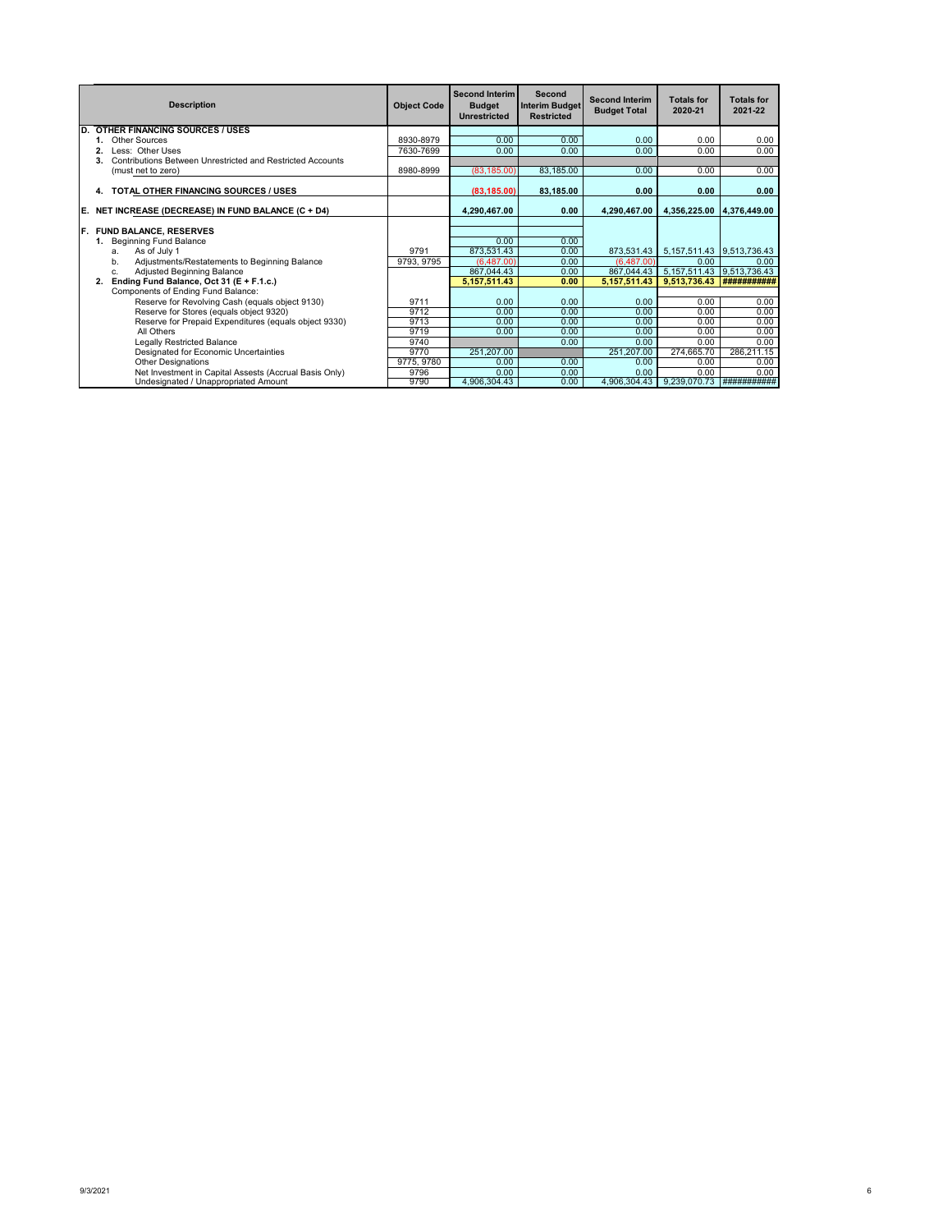|    | <b>Description</b>                                         | <b>Object Code</b> | <b>Second Interim</b><br><b>Budget</b><br>Unrestricted | Second<br><b>Interim Budget</b><br><b>Restricted</b> | <b>Second Interim</b><br><b>Budget Total</b> | <b>Totals for</b><br>2020-21    | <b>Totals for</b><br>2021-22 |
|----|------------------------------------------------------------|--------------------|--------------------------------------------------------|------------------------------------------------------|----------------------------------------------|---------------------------------|------------------------------|
| D. | <b>OTHER FINANCING SOURCES / USES</b>                      |                    |                                                        |                                                      |                                              |                                 |                              |
|    | Other Sources                                              | 8930-8979          | 0.00                                                   | 0.00                                                 | 0.00                                         | 0.00                            | 0.00                         |
|    | Less: Other Uses                                           | 7630-7699          | 0.00                                                   | 0.00                                                 | 0.00                                         | 0.00                            | 0.00                         |
|    | Contributions Between Unrestricted and Restricted Accounts |                    |                                                        |                                                      |                                              |                                 |                              |
|    | (must net to zero)                                         | 8980-8999          | (83, 185.00)                                           | 83,185.00                                            | 0.00                                         | 0.00                            | 0.00                         |
|    | TOTAL OTHER FINANCING SOURCES / USES<br>4.                 |                    | (83, 185.00)                                           | 83,185.00                                            | 0.00                                         | 0.00                            | 0.00                         |
|    | E. NET INCREASE (DECREASE) IN FUND BALANCE (C + D4)        |                    | 4.290.467.00                                           | 0.00                                                 | 4.290.467.00                                 | 4.356.225.00   4.376.449.00     |                              |
|    |                                                            |                    |                                                        |                                                      |                                              |                                 |                              |
| F. | <b>FUND BALANCE, RESERVES</b>                              |                    |                                                        |                                                      |                                              |                                 |                              |
|    | 1. Beginning Fund Balance                                  |                    | 0.00                                                   | 0.00                                                 |                                              |                                 |                              |
|    | As of July 1<br>ă.                                         | 9791               | 873,531.43                                             | 0.00                                                 | 873,531.43                                   | 5, 157, 511.43   9, 513, 736.43 |                              |
|    | Adjustments/Restatements to Beginning Balance<br>$b$ .     | 9793, 9795         | (6.487.00)                                             | 0.00                                                 | (6.487.00)                                   | 0.00                            | 0.00                         |
|    | Adjusted Beginning Balance<br>c.                           |                    | 867,044.43                                             | 0.00                                                 | 867,044.43                                   | 5, 157, 511.43 9, 513, 736.43   |                              |
|    | Ending Fund Balance, Oct 31 (E + F.1.c.)<br>2.             |                    | 5,157,511.43                                           | 0.00                                                 | 5.157.511.43                                 | 9,513,736.43                    | ###########                  |
|    | Components of Ending Fund Balance:                         |                    |                                                        |                                                      |                                              |                                 |                              |
|    | Reserve for Revolving Cash (equals object 9130)            | 9711               | 0.00                                                   | 0.00                                                 | 0.00                                         | 0.00                            | 0.00                         |
|    | Reserve for Stores (equals object 9320)                    | 9712               | 0.00                                                   | 0.00                                                 | 0.00                                         | 0.00                            | 0.00                         |
|    | Reserve for Prepaid Expenditures (equals object 9330)      | 9713               | 0.00                                                   | 0.00                                                 | 0.00                                         | 0.00                            | 0.00                         |
|    | All Others                                                 | 9719               | 0.00                                                   | 0.00                                                 | 0.00                                         | 0.00                            | 0.00                         |
|    | <b>Legally Restricted Balance</b>                          | 9740               |                                                        | 0.00                                                 | 0.00                                         | 0.00                            | 0.00                         |
|    | Designated for Economic Uncertainties                      | 9770               | 251,207.00                                             |                                                      | 251,207.00                                   | 274,665.70                      | 286,211.15                   |
|    | <b>Other Designations</b>                                  | 9775, 9780         | 0.00                                                   | 0.00                                                 | 0.00                                         | 0.00                            | 0.00                         |
|    | Net Investment in Capital Assests (Accrual Basis Only)     | 9796               | 0.00                                                   | 0.00                                                 | 0.00                                         | 0.00                            | 0.00                         |
|    | Undesignated / Unappropriated Amount                       | 9790               | 4.906.304.43                                           | 0.00                                                 | 4,906,304.43                                 | 9,239,070.73                    | ###########                  |